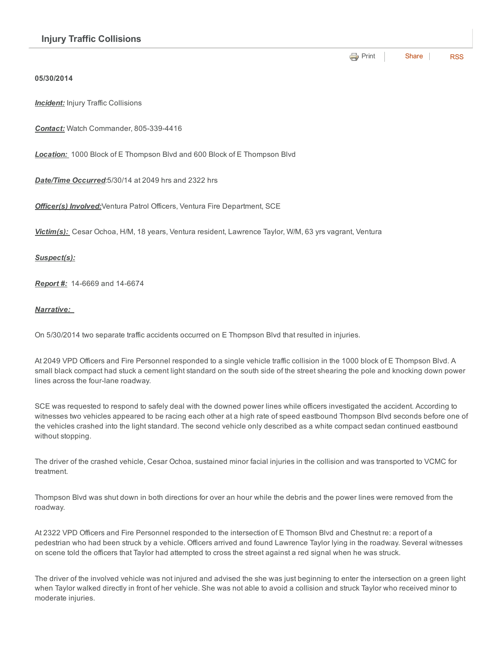**[Print](http://www.cityofventura.net/print/15836)** | [Share](javascript:void(0)) | [RSS](http://www.cityofventura.net/feed/press_release/rss.xml)

## 05/30/2014

**Incident:** Injury Traffic Collisions

**Contact:** Watch Commander, 805-339-4416

*Location:* 1000 Block of E Thompson Blvd and 600 Block of E Thompson Blvd

*Date/Time Occurred:*5/30/14 at 2049 hrs and 2322 hrs

*Officer(s) Involved:*Ventura Patrol Officers, Ventura Fire Department, SCE

*Victim(s):* Cesar Ochoa, H/M, 18 years, Ventura resident, Lawrence Taylor, W/M, 63 yrs vagrant, Ventura

## *Suspect(s):*

**Report #:** 14-6669 and 14-6674

## *Narrative:*

On 5/30/2014 two separate traffic accidents occurred on E Thompson Blvd that resulted in injuries.

At 2049 VPD Officers and Fire Personnel responded to a single vehicle traffic collision in the 1000 block of E Thompson Blvd. A small black compact had stuck a cement light standard on the south side of the street shearing the pole and knocking down power lines across the four-lane roadway.

SCE was requested to respond to safely deal with the downed power lines while officers investigated the accident. According to witnesses two vehicles appeared to be racing each other at a high rate of speed eastbound Thompson Blvd seconds before one of the vehicles crashed into the light standard. The second vehicle only described as a white compact sedan continued eastbound without stopping.

The driver of the crashed vehicle, Cesar Ochoa, sustained minor facial injuries in the collision and was transported to VCMC for treatment.

Thompson Blvd was shut down in both directions for over an hour while the debris and the power lines were removed from the roadway.

At 2322 VPD Officers and Fire Personnel responded to the intersection of E Thomson Blvd and Chestnut re: a report of a pedestrian who had been struck by a vehicle. Officers arrived and found Lawrence Taylor lying in the roadway. Several witnesses on scene told the officers that Taylor had attempted to cross the street against a red signal when he was struck.

The driver of the involved vehicle was not injured and advised the she was just beginning to enter the intersection on a green light when Taylor walked directly in front of her vehicle. She was not able to avoid a collision and struck Taylor who received minor to moderate injuries.